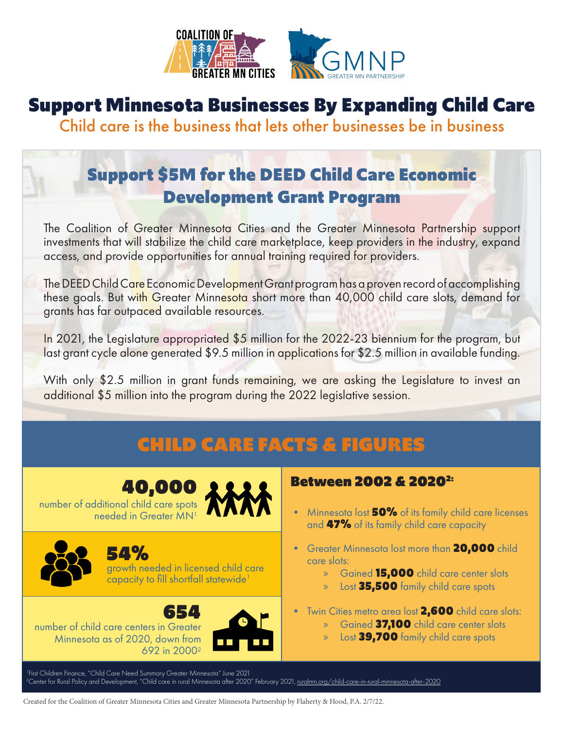

## Support Minnesota Businesses By Expanding Child Care

Child care is the business that lets other businesses be in business

### Support \$5M for the DEED Child Care Economic Development Grant Program

The Coalition of Greater Minnesota Cities and the Greater Minnesota Partnership support investments that will stabilize the child care marketplace, keep providers in the industry, expand access, and provide opportunities for annual training required for providers.

The DEED Child Care Economic Development Grant program has a proven record of accomplishing these goals. But with Greater Minnesota short more than 40,000 child care slots, demand for grants has far outpaced available resources.

In 2021, the Legislature appropriated \$5 million for the 2022-23 biennium for the program, but last grant cycle alone generated \$9.5 million in applications for \$2.5 million in available funding.

With only \$2.5 million in grant funds remaining, we are asking the Legislature to invest an additional \$5 million into the program during the 2022 legislative session.

## CHILD CARE FACTS & FIGURES

## 40,000

number of additional child care spots needed in Greater MN1



54% growth needed in licensed child care capacity to fill shortfall statewide<sup>1</sup>

654

number of child care centers in Greater Minnesota as of 2020, down from 692 in 20002



#### Between 2002 & 2020<sup>2:</sup>

- Minnesota lost **50%** of its family child care licenses and 47% of its family child care capacity
- Greater Minnesota lost more than **20,000** child care slots:
	- » Gained 15,000 child care center slots
	- » Lost 35,500 family child care spots
- Twin Cities metro area lost **2,600** child care slots:
	- » Gained 37,100 child care center slots
	- » Lost 39,700 family child care spots

1 First Children Finance, "Child Care Need Summary Greater Minnesota" June 2021 <sup>2</sup>Center for Rural Policy and Development, "Child care in rural Minnesota after 2020" February 2021, <u>ruralmn.org/child-care-in-rural-minnesota-after-2020</u>

Created for the Coalition of Greater Minnesota Cities and Greater Minnesota Partnership by Flaherty & Hood, P.A. 2/7/22.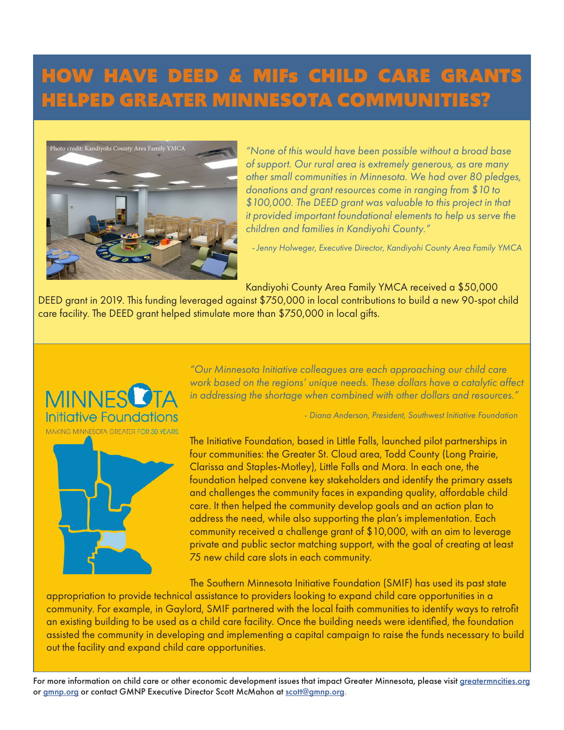## HOW HAVE DEED & MIFs CHILD CARE GRANTS HELPED GREATER MINNESOTA COMMUNITIES?



*"None of this would have been possible without a broad base of support. Our rural area is extremely generous, as are many other small communities in Minnesota. We had over 80 pledges, donations and grant resources come in ranging from \$10 to \$100,000. The DEED grant was valuable to this project in that it provided important foundational elements to help us serve the children and families in Kandiyohi County."* 

*- Jenny Holweger, Executive Director, Kandiyohi County Area Family YMCA*

Kandiyohi County Area Family YMCA received a \$50,000

DEED grant in 2019. This funding leveraged against \$750,000 in local contributions to build a new 90-spot child care facility. The DEED grant helped stimulate more than \$750,000 in local gifts.



*"Our Minnesota Initiative colleagues are each approaching our child care work based on the regions' unique needs. These dollars have a catalytic affect in addressing the shortage when combined with other dollars and resources."* 

*- Diana Anderson, President, Southwest Initiative Foundation*

The Initiative Foundation, based in Little Falls, launched pilot partnerships in four communities: the Greater St. Cloud area, Todd County (Long Prairie, Clarissa and Staples-Motley), Little Falls and Mora. In each one, the foundation helped convene key stakeholders and identify the primary assets and challenges the community faces in expanding quality, affordable child care. It then helped the community develop goals and an action plan to address the need, while also supporting the plan's implementation. Each community received a challenge grant of \$10,000, with an aim to leverage private and public sector matching support, with the goal of creating at least 75 new child care slots in each community.

The Southern Minnesota Initiative Foundation (SMIF) has used its past state

appropriation to provide technical assistance to providers looking to expand child care opportunities in a community. For example, in Gaylord, SMIF partnered with the local faith communities to identify ways to retrofit an existing building to be used as a child care facility. Once the building needs were identified, the foundation assisted the community in developing and implementing a capital campaign to raise the funds necessary to build out the facility and expand child care opportunities.

For more information on child care or other economic development issues that impact Greater Minnesota, please visit greatermncities.org or gmnp.org or contact GMNP Executive Director Scott McMahon at scott@gmnp.org.